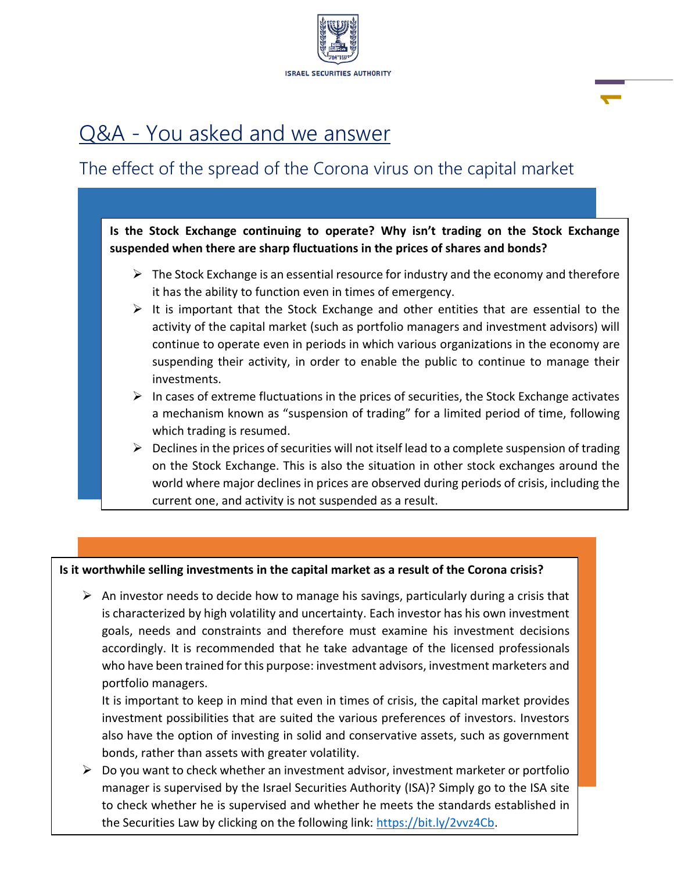

<u>1989 - Johann Stein, Amerikaansk politiker († 1989)</u>

# Q&A - You asked and we answer

## The effect of the spread of the Corona virus on the capital market

**Is the Stock Exchange continuing to operate? Why isn't trading on the Stock Exchange suspended when there are sharp fluctuations in the prices of shares and bonds?** 

- $\triangleright$  The Stock Exchange is an essential resource for industry and the economy and therefore it has the ability to function even in times of emergency.
- $\triangleright$  It is important that the Stock Exchange and other entities that are essential to the activity of the capital market (such as portfolio managers and investment advisors) will continue to operate even in periods in which various organizations in the economy are suspending their activity, in order to enable the public to continue to manage their investments.
- $\triangleright$  In cases of extreme fluctuations in the prices of securities, the Stock Exchange activates a mechanism known as "suspension of trading" for a limited period of time, following which trading is resumed.
- $\triangleright$  Declines in the prices of securities will not itself lead to a complete suspension of trading on the Stock Exchange. This is also the situation in other stock exchanges around the world where major declines in prices are observed during periods of crisis, including the current one, and activity is not suspended as a result.

## **Is it worthwhile selling investments in the capital market as a result of the Corona crisis?**

 $\triangleright$  An investor needs to decide how to manage his savings, particularly during a crisis that is characterized by high volatility and uncertainty. Each investor has his own investment goals, needs and constraints and therefore must examine his investment decisions accordingly. It is recommended that he take advantage of the licensed professionals who have been trained for this purpose: investment advisors, investment marketers and portfolio managers.

It is important to keep in mind that even in times of crisis, the capital market provides investment possibilities that are suited the various preferences of investors. Investors also have the option of investing in solid and conservative assets, such as government bonds, rather than assets with greater volatility.

 $\triangleright$  Do you want to check whether an investment advisor, investment marketer or portfolio manager is supervised by the Israel Securities Authority (ISA)? Simply go to the ISA site to check whether he is supervised and whether he meets the standards established in the Securities Law by clicking on the following link: https://bit.ly/2vvz4Cb.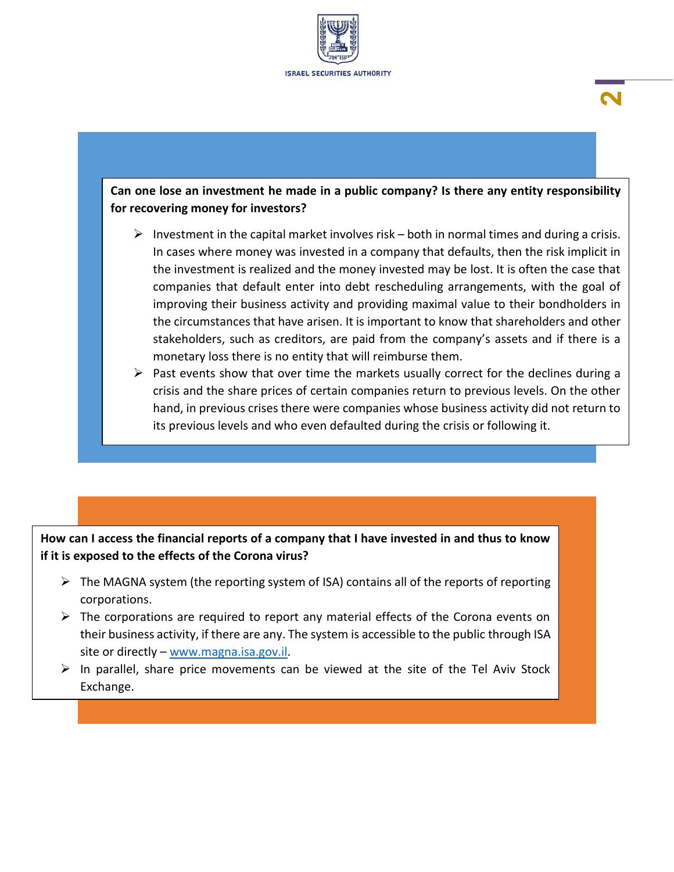

## **Can one lose an investment he made in a public company? Is there any entity responsibility for recovering money for investors?**

**2**

- $\triangleright$  Investment in the capital market involves risk both in normal times and during a crisis. In cases where money was invested in a company that defaults, then the risk implicit in the investment is realized and the money invested may be lost. It is often the case that companies that default enter into debt rescheduling arrangements, with the goal of improving their business activity and providing maximal value to their bondholders in the circumstances that have arisen. It is important to know that shareholders and other stakeholders, such as creditors, are paid from the company's assets and if there is a monetary loss there is no entity that will reimburse them.
- $\triangleright$  Past events show that over time the markets usually correct for the declines during a crisis and the share prices of certain companies return to previous levels. On the other hand, in previous crises there were companies whose business activity did not return to its previous levels and who even defaulted during the crisis or following it.

**How can I access the financial reports of a company that I have invested in and thus to know if it is exposed to the effects of the Corona virus?** 

- $\triangleright$  The MAGNA system (the reporting system of ISA) contains all of the reports of reporting corporations.
- $\triangleright$  The corporations are required to report any material effects of the Corona events on their business activity, if there are any. The system is accessible to the public through ISA site or directly – www.magna.isa.gov.il.
- $\triangleright$  In parallel, share price movements can be viewed at the site of the Tel Aviv Stock Exchange.